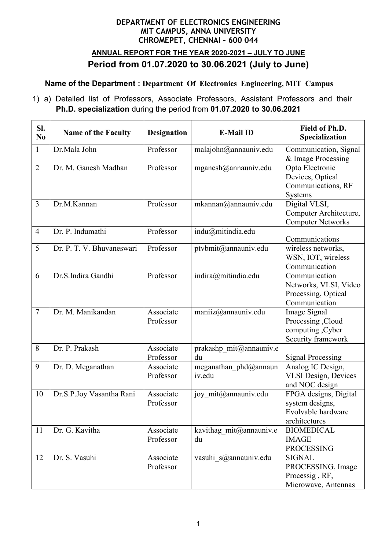## **DEPARTMENT OF ELECTRONICS ENGINEERING MIT CAMPUS, ANNA UNIVERSITY CHROMEPET, CHENNAI – 600 044**

## **ANNUAL REPORT FOR THE YEAR 2020-2021 – JULY TO JUNE Period from 01.07.2020 to 30.06.2021 (July to June)**

#### **Name of the Department : Department Of Electronics Engineering, MIT Campus**

1) a) Detailed list of Professors, Associate Professors, Assistant Professors and their **Ph.D. specialization** during the period from **01.07.2020 to 30.06.2021**

| SI.<br>N <sub>0</sub> | <b>Name of the Faculty</b> | <b>Designation</b>     | <b>E-Mail ID</b>                   | Field of Ph.D.<br>Specialization                                                |
|-----------------------|----------------------------|------------------------|------------------------------------|---------------------------------------------------------------------------------|
| $\mathbf{1}$          | Dr.Mala John               | Professor              | malajohn@annauniv.edu              | Communication, Signal<br>& Image Processing                                     |
| $\overline{2}$        | Dr. M. Ganesh Madhan       | Professor              | mganesh@annauniv.edu               | Opto Electronic<br>Devices, Optical<br>Communications, RF<br>Systems            |
| $\overline{3}$        | Dr.M.Kannan                | Professor              | mkannan@annauniv.edu               | Digital VLSI,<br>Computer Architecture,<br><b>Computer Networks</b>             |
| $\overline{4}$        | Dr. P. Indumathi           | Professor              | indu@mitindia.edu                  | Communications                                                                  |
| 5                     | Dr. P. T. V. Bhuvaneswari  | Professor              | ptvbmit@annauniv.edu               | wireless networks,<br>WSN, IOT, wireless<br>Communication                       |
| 6                     | Dr.S.Indira Gandhi         | Professor              | indira@mitindia.edu                | Communication<br>Networks, VLSI, Video<br>Processing, Optical<br>Communication  |
| $\tau$                | Dr. M. Manikandan          | Associate<br>Professor | maniiz@annauniv.edu                | Image Signal<br>Processing, Cloud<br>computing , Cyber<br>Security framework    |
| 8                     | Dr. P. Prakash             | Associate<br>Professor | prakashp_mit@annauniv.e<br>du      | <b>Signal Processing</b>                                                        |
| 9                     | Dr. D. Meganathan          | Associate<br>Professor | $meganathan\_phd@annaun$<br>iv.edu | Analog IC Design,<br><b>VLSI Design, Devices</b><br>and NOC design              |
| 10                    | Dr.S.P.Joy Vasantha Rani   | Associate<br>Professor | joy_mit@annauniv.edu               | FPGA designs, Digital<br>system designs,<br>Evolvable hardware<br>architectures |
| 11                    | Dr. G. Kavitha             | Associate<br>Professor | kavithag mit@annauniv.e<br>du      | <b>BIOMEDICAL</b><br><b>IMAGE</b><br><b>PROCESSING</b>                          |
| 12                    | Dr. S. Vasuhi              | Associate<br>Professor | vasuhi s@annauniv.edu              | <b>SIGNAL</b><br>PROCESSING, Image<br>Processig, RF,<br>Microwave, Antennas     |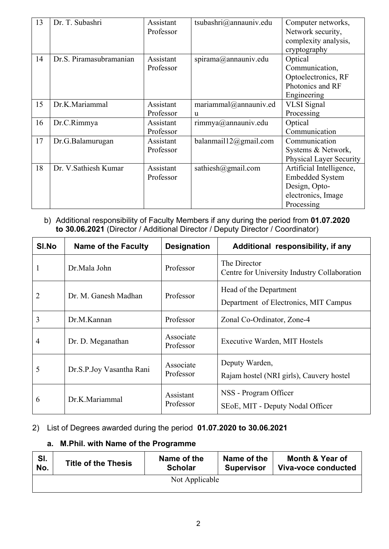| 13 | Dr. T. Subashri         | Assistant | tsubashri@annauniv.edu    | Computer networks,             |
|----|-------------------------|-----------|---------------------------|--------------------------------|
|    |                         | Professor |                           | Network security,              |
|    |                         |           |                           | complexity analysis,           |
|    |                         |           |                           | cryptography                   |
| 14 | Dr.S. Piramasubramanian | Assistant | spirama@annauniv.edu      | Optical                        |
|    |                         | Professor |                           | Communication,                 |
|    |                         |           |                           | Optoelectronics, RF            |
|    |                         |           |                           | Photonics and RF               |
|    |                         |           |                           | Engineering                    |
| 15 | Dr.K.Mariammal          | Assistant | mariammal@annauniv.ed     | <b>VLSI</b> Signal             |
|    |                         | Professor | u                         | Processing                     |
| 16 | Dr.C.Rimmya             | Assistant | rimmya@annauniv.edu       | Optical                        |
|    |                         | Professor |                           | Communication                  |
| 17 | Dr.G.Balamurugan        | Assistant | balanmail $12@g$ mail.com | Communication                  |
|    |                         | Professor |                           | Systems & Network,             |
|    |                         |           |                           | <b>Physical Layer Security</b> |
| 18 | Dr. V. Sathiesh Kumar   | Assistant | sathiesh $@g$ mail.com    | Artificial Intelligence,       |
|    |                         | Professor |                           | <b>Embedded System</b>         |
|    |                         |           |                           | Design, Opto-                  |
|    |                         |           |                           | electronics, Image             |
|    |                         |           |                           | Processing                     |

#### b) Additional responsibility of Faculty Members if any during the period from **01.07.2020 to 30.06.2021** (Director / Additional Director / Deputy Director / Coordinator)

| <b>SI.No</b>   | <b>Name of the Faculty</b> | <b>Designation</b>     | Additional responsibility, if any                               |
|----------------|----------------------------|------------------------|-----------------------------------------------------------------|
|                | Dr.Mala John               | Professor              | The Director<br>Centre for University Industry Collaboration    |
| 2              | Dr. M. Ganesh Madhan       | Professor              | Head of the Department<br>Department of Electronics, MIT Campus |
| 3              | Dr.M.Kannan                | Professor              | Zonal Co-Ordinator, Zone-4                                      |
| $\overline{4}$ | Dr. D. Meganathan          | Associate<br>Professor | <b>Executive Warden, MIT Hostels</b>                            |
| 5              | Dr.S.P.Joy Vasantha Rani   | Associate<br>Professor | Deputy Warden,<br>Rajam hostel (NRI girls), Cauvery hostel      |
| 6              | Dr.K.Mariammal             | Assistant<br>Professor | NSS - Program Officer<br>SEOE, MIT - Deputy Nodal Officer       |

### 2) List of Degrees awarded during the period **01.07.2020 to 30.06.2021**

## **a. M.Phil. with Name of the Programme**

| SI. | <b>Title of the Thesis</b> | Name of the    | Name of the       | Month & Year of     |
|-----|----------------------------|----------------|-------------------|---------------------|
| No. |                            | <b>Scholar</b> | <b>Supervisor</b> | Viva-voce conducted |
|     |                            | Not Applicable |                   |                     |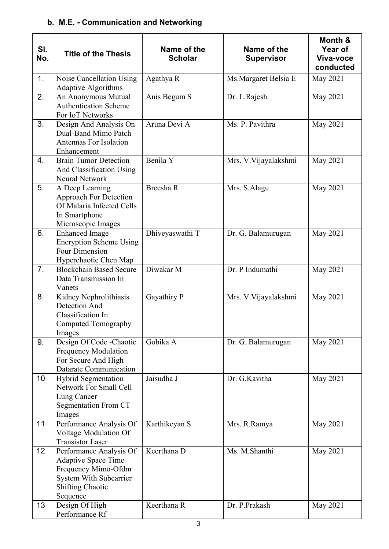## **b. M.E. - Communication and Networking**

| SI.<br>No. | <b>Title of the Thesis</b>                                                                                                                           | Name of the<br><b>Scholar</b> | Name of the<br>Supervisor | Month &<br>Year of<br>Viva-voce<br>conducted |
|------------|------------------------------------------------------------------------------------------------------------------------------------------------------|-------------------------------|---------------------------|----------------------------------------------|
| 1.         | Noise Cancellation Using<br><b>Adaptive Algorithms</b>                                                                                               | Agathya R                     | Ms.Margaret Belsia E      | May 2021                                     |
| 2.         | An Anonymous Mutual<br><b>Authentication Scheme</b><br>For IoT Networks                                                                              | Anis Begum S                  | Dr. L.Rajesh              | May 2021                                     |
| 3.         | Design And Analysis On<br>Dual-Band Mimo Patch<br><b>Antennas For Isolation</b><br>Enhancement                                                       | Aruna Devi A                  | Ms. P. Pavithra           | May 2021                                     |
| 4.         | <b>Brain Tumor Detection</b><br>And Classification Using<br>Neural Network                                                                           | Benila Y                      | Mrs. V. Vijayalakshmi     | May 2021                                     |
| 5.         | A Deep Learning<br><b>Approach For Detection</b><br>Of Malaria Infected Cells<br>In Smartphone<br>Microscopic Images                                 | Breesha R                     | Mrs. S.Alagu              | May 2021                                     |
| 6.         | <b>Enhanced Image</b><br><b>Encryption Scheme Using</b><br>Four Dimension<br>Hyperchaotic Chen Map                                                   | Dhiveyaswathi T               | Dr. G. Balamurugan        | May 2021                                     |
| 7.         | <b>Blockchain Based Secure</b><br>Data Transmission In<br>Vanets                                                                                     | Diwakar M                     | Dr. P Indumathi           | May 2021                                     |
| 8.         | Kidney Nephrolithiasis<br>Detection And<br>Classification In<br>Computed Tomography<br>Images                                                        | Gayathiry P                   | Mrs. V. Vijayalakshmi     | May 2021                                     |
| 9.         | Design Of Code - Chaotic<br><b>Frequency Modulation</b><br>For Secure And High<br>Datarate Communication                                             | Gobika A                      | Dr. G. Balamurugan        | May 2021                                     |
| 10         | <b>Hybrid Segmentation</b><br>Network For Small Cell<br>Lung Cancer<br>Segmentation From CT<br>Images                                                | Jaisudha J                    | Dr. G.Kavitha             | May 2021                                     |
| 11         | Performance Analysis Of<br>Voltage Modulation Of<br><b>Transistor Laser</b>                                                                          | Karthikeyan S                 | Mrs. R.Ramya              | May 2021                                     |
| 12         | Performance Analysis Of<br><b>Adaptive Space Time</b><br>Frequency Mimo-Ofdm<br><b>System With Subcarrier</b><br><b>Shifting Chaotic</b><br>Sequence | Keerthana D                   | Ms. M.Shanthi             | May 2021                                     |
| 13         | Design Of High<br>Performance Rf                                                                                                                     | Keerthana R                   | Dr. P.Prakash             | May 2021                                     |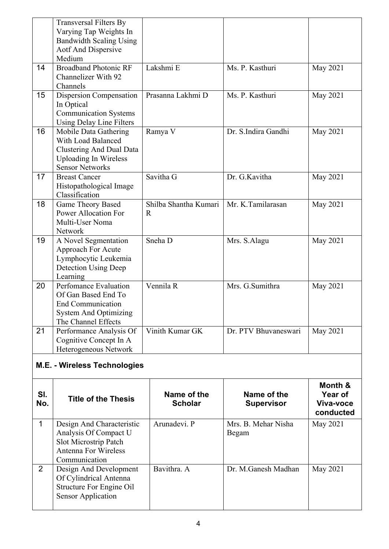|    | <b>Transversal Filters By</b><br>Varying Tap Weights In<br><b>Bandwidth Scaling Using</b><br><b>Aotf And Dispersive</b><br>Medium        |                                       |                      |          |
|----|------------------------------------------------------------------------------------------------------------------------------------------|---------------------------------------|----------------------|----------|
| 14 | <b>Broadband Photonic RF</b><br><b>Channelizer With 92</b><br>Channels                                                                   | Lakshmi E                             | Ms. P. Kasthuri      | May 2021 |
| 15 | Dispersion Compensation<br>In Optical<br><b>Communication Systems</b><br>Using Delay Line Filters                                        | Prasanna Lakhmi D                     | Ms. P. Kasthuri      | May 2021 |
| 16 | Mobile Data Gathering<br><b>With Load Balanced</b><br>Clustering And Dual Data<br><b>Uploading In Wireless</b><br><b>Sensor Networks</b> | Ramya V                               | Dr. S.Indira Gandhi  | May 2021 |
| 17 | <b>Breast Cancer</b><br>Histopathological Image<br>Classification                                                                        | Savitha G                             | Dr. G.Kavitha        | May 2021 |
| 18 | Game Theory Based<br><b>Power Allocation For</b><br>Multi-User Noma<br>Network                                                           | Shilba Shantha Kumari<br>$\mathbb{R}$ | Mr. K.Tamilarasan    | May 2021 |
| 19 | A Novel Segmentation<br><b>Approach For Acute</b><br>Lymphocytic Leukemia<br>Detection Using Deep<br>Learning                            | Sneha D                               | Mrs. S.Alagu         | May 2021 |
| 20 | Perfomance Evaluation<br>Of Gan Based End To<br>End Communication<br><b>System And Optimizing</b><br>The Channel Effects                 | Vennila R                             | Mrs. G.Sumithra      | May 2021 |
| 21 | Performance Analysis Of<br>Cognitive Concept In A<br>Heterogeneous Network                                                               | Vinith Kumar GK                       | Dr. PTV Bhuvaneswari | May 2021 |
|    | <b>M.E. - Wireless Technologies</b>                                                                                                      |                                       |                      |          |
|    |                                                                                                                                          |                                       |                      | Month &  |

| SI.<br>No. | <b>Title of the Thesis</b>                                                                                                  | Name of the<br><b>Scholar</b> | Name of the<br><b>Supervisor</b> | <b>IVIONUI O</b><br><b>Year of</b><br>Viva-voce<br>conducted |
|------------|-----------------------------------------------------------------------------------------------------------------------------|-------------------------------|----------------------------------|--------------------------------------------------------------|
|            | Design And Characteristic<br>Analysis Of Compact U<br>Slot Microstrip Patch<br><b>Antenna For Wireless</b><br>Communication | Arunadevi. P                  | Mrs. B. Mehar Nisha<br>Begam     | May 2021                                                     |
| 2          | Design And Development<br>Of Cylindrical Antenna<br>Structure For Engine Oil<br><b>Sensor Application</b>                   | Bavithra. A                   | Dr. M.Ganesh Madhan              | May 2021                                                     |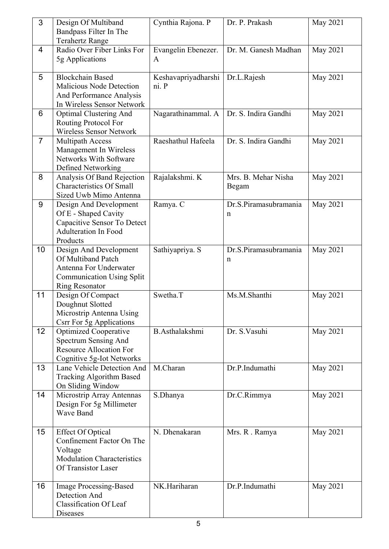| 3               | Design Of Multiband<br>Bandpass Filter In The<br><b>Terahertz Range</b>                                                                    | Cynthia Rajona. P            | Dr. P. Prakash                       | May 2021 |
|-----------------|--------------------------------------------------------------------------------------------------------------------------------------------|------------------------------|--------------------------------------|----------|
| 4               | Radio Over Fiber Links For<br>5g Applications                                                                                              | Evangelin Ebenezer.<br>A     | Dr. M. Ganesh Madhan                 | May 2021 |
| 5               | <b>Blockchain Based</b><br>Malicious Node Detection<br>And Performance Analysis<br>In Wireless Sensor Network                              | Keshavapriyadharshi<br>ni. P | Dr.L.Rajesh                          | May 2021 |
| 6               | <b>Optimal Clustering And</b><br><b>Routing Protocol For</b><br>Wireless Sensor Network                                                    | Nagarathinammal. A           | Dr. S. Indira Gandhi                 | May 2021 |
| $\overline{7}$  | <b>Multipath Access</b><br>Management In Wireless<br>Networks With Software<br>Defined Networking                                          | Raeshathul Hafeela           | Dr. S. Indira Gandhi                 | May 2021 |
| 8               | Analysis Of Band Rejection<br><b>Characteristics Of Small</b><br>Sized Uwb Mimo Antenna                                                    | Rajalakshmi. K               | Mrs. B. Mehar Nisha<br>Begam         | May 2021 |
| 9               | Design And Development<br>Of E - Shaped Cavity<br>Capacitive Sensor To Detect<br><b>Adulteration In Food</b><br>Products                   | Ramya. C                     | Dr.S.Piramasubramania<br>n           | May 2021 |
| 10              | Design And Development<br>Of Multiband Patch<br><b>Antenna For Underwater</b><br><b>Communication Using Split</b><br><b>Ring Resonator</b> | Sathiyapriya. S              | Dr.S.Piramasubramania<br>$\mathbf n$ | May 2021 |
| 11              | Design Of Compact<br>Doughnut Slotted<br>Microstrip Antenna Using<br>Csrr For 5g Applications                                              | Swetha.T                     | Ms.M.Shanthi                         | May 2021 |
| 12 <sup>2</sup> | <b>Optimized Cooperative</b><br>Spectrum Sensing And<br><b>Resource Allocation For</b><br>Cognitive 5g-Iot Networks                        | B.Asthalakshmi               | Dr. S. Vasuhi                        | May 2021 |
| 13              | Lane Vehicle Detection And<br><b>Tracking Algorithm Based</b><br>On Sliding Window                                                         | M.Charan                     | Dr.P.Indumathi                       | May 2021 |
| 14              | Microstrip Array Antennas<br>Design For 5g Millimeter<br>Wave Band                                                                         | S.Dhanya                     | Dr.C.Rimmya                          | May 2021 |
| 15              | <b>Effect Of Optical</b><br>Confinement Factor On The<br>Voltage<br><b>Modulation Characteristics</b><br><b>Of Transistor Laser</b>        | N. Dhenakaran                | Mrs. R. Ramya                        | May 2021 |
| 16              | <b>Image Processing-Based</b><br>Detection And<br>Classification Of Leaf<br>Diseases                                                       | NK.Hariharan                 | Dr.P.Indumathi                       | May 2021 |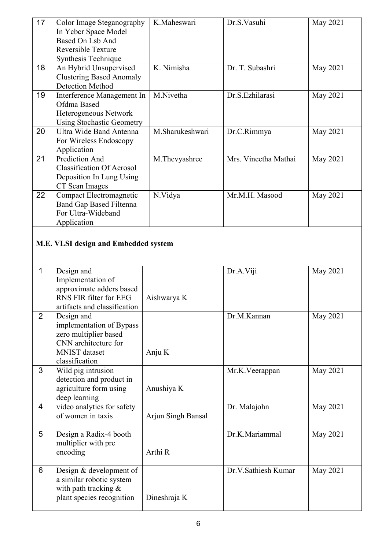| 17 | Color Image Steganography        | K.Maheswari     | Dr.S.Vasuhi          | May 2021 |
|----|----------------------------------|-----------------|----------------------|----------|
|    | In Yeber Space Model             |                 |                      |          |
|    | Based On Lsb And                 |                 |                      |          |
|    | Reversible Texture               |                 |                      |          |
|    | Synthesis Technique              |                 |                      |          |
| 18 | An Hybrid Unsupervised           | K. Nimisha      | Dr. T. Subashri      | May 2021 |
|    | <b>Clustering Based Anomaly</b>  |                 |                      |          |
|    | <b>Detection Method</b>          |                 |                      |          |
| 19 | Interference Management In       | M.Nivetha       | Dr.S.Ezhilarasi      | May 2021 |
|    | Ofdma Based                      |                 |                      |          |
|    | Heterogeneous Network            |                 |                      |          |
|    | <b>Using Stochastic Geometry</b> |                 |                      |          |
| 20 | Ultra Wide Band Antenna          | M.Sharukeshwari | Dr.C.Rimmya          | May 2021 |
|    | For Wireless Endoscopy           |                 |                      |          |
|    | Application                      |                 |                      |          |
| 21 | Prediction And                   | M.Thevyashree   | Mrs. Vineetha Mathai | May 2021 |
|    | <b>Classification Of Aerosol</b> |                 |                      |          |
|    | Deposition In Lung Using         |                 |                      |          |
|    | CT Scan Images                   |                 |                      |          |
| 22 | Compact Electromagnetic          | N.Vidya         | Mr.M.H. Masood       | May 2021 |
|    | <b>Band Gap Based Filtenna</b>   |                 |                      |          |
|    | For Ultra-Wideband               |                 |                      |          |
|    | Application                      |                 |                      |          |

# **M.E. VLSI design and Embedded system**

|   | Design and                   |                    | Dr.A.Viji           | May 2021 |
|---|------------------------------|--------------------|---------------------|----------|
|   | Implementation of            |                    |                     |          |
|   | approximate adders based     |                    |                     |          |
|   | RNS FIR filter for EEG       | Aishwarya K        |                     |          |
|   | artifacts and classification |                    |                     |          |
| 2 | Design and                   |                    | Dr.M.Kannan         | May 2021 |
|   | implementation of Bypass     |                    |                     |          |
|   | zero multiplier based        |                    |                     |          |
|   | CNN architecture for         |                    |                     |          |
|   | <b>MNIST</b> dataset         | Anju K             |                     |          |
|   | classification               |                    |                     |          |
| 3 | Wild pig intrusion           |                    | Mr.K.Veerappan      | May 2021 |
|   | detection and product in     |                    |                     |          |
|   | agriculture form using       | Anushiya K         |                     |          |
|   | deep learning                |                    |                     |          |
| 4 | video analytics for safety   |                    | Dr. Malajohn        | May 2021 |
|   | of women in taxis            | Arjun Singh Bansal |                     |          |
|   |                              |                    |                     |          |
| 5 | Design a Radix-4 booth       |                    | Dr.K.Mariammal      | May 2021 |
|   | multiplier with pre          | Arthi R            |                     |          |
|   | encoding                     |                    |                     |          |
| 6 | Design & development of      |                    | Dr.V.Sathiesh Kumar | May 2021 |
|   | a similar robotic system     |                    |                     |          |
|   | with path tracking $&$       |                    |                     |          |
|   | plant species recognition    | Dineshraja K       |                     |          |
|   |                              |                    |                     |          |
|   |                              |                    |                     |          |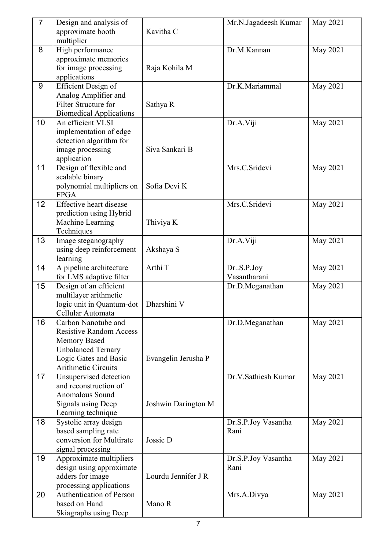| $\overline{7}$ | Design and analysis of                                     |                     | Mr.N.Jagadeesh Kumar      | May 2021 |
|----------------|------------------------------------------------------------|---------------------|---------------------------|----------|
|                | approximate booth                                          | Kavitha C           |                           |          |
| 8              | multiplier                                                 |                     |                           |          |
|                | High performance<br>approximate memories                   |                     | Dr.M.Kannan               | May 2021 |
|                | for image processing                                       | Raja Kohila M       |                           |          |
|                | applications                                               |                     |                           |          |
| 9              | <b>Efficient Design of</b>                                 |                     | Dr.K.Mariammal            | May 2021 |
|                | Analog Amplifier and                                       |                     |                           |          |
|                | Filter Structure for                                       | Sathya R            |                           |          |
|                | <b>Biomedical Applications</b>                             |                     |                           |          |
| 10             | An efficient VLSI                                          |                     | Dr.A.Viji                 | May 2021 |
|                | implementation of edge                                     |                     |                           |          |
|                | detection algorithm for                                    |                     |                           |          |
|                | image processing                                           | Siva Sankari B      |                           |          |
| 11             | application<br>Design of flexible and                      |                     | Mrs.C.Sridevi             | May 2021 |
|                | scalable binary                                            |                     |                           |          |
|                | polynomial multipliers on                                  | Sofia Devi K        |                           |          |
|                | <b>FPGA</b>                                                |                     |                           |          |
| 12             | Effective heart disease                                    |                     | Mrs.C.Sridevi             | May 2021 |
|                | prediction using Hybrid                                    |                     |                           |          |
|                | Machine Learning                                           | Thiviya K           |                           |          |
|                | Techniques                                                 |                     |                           |          |
| 13             | Image steganography                                        |                     | Dr.A.Viji                 | May 2021 |
|                | using deep reinforcement                                   | Akshaya S           |                           |          |
|                | learning                                                   |                     |                           |          |
| 14             | A pipeline architecture                                    | Arthi T             | DrS.P.Joy<br>Vasantharani | May 2021 |
| 15             | for LMS adaptive filter<br>Design of an efficient          |                     | Dr.D.Meganathan           | May 2021 |
|                | multilayer arithmetic                                      |                     |                           |          |
|                | logic unit in Quantum-dot                                  | Dharshini V         |                           |          |
|                | Cellular Automata                                          |                     |                           |          |
| 16             | Carbon Nanotube and                                        |                     | Dr.D.Meganathan           | May 2021 |
|                | <b>Resistive Random Access</b>                             |                     |                           |          |
|                | Memory Based                                               |                     |                           |          |
|                | <b>Unbalanced Ternary</b>                                  |                     |                           |          |
|                | Logic Gates and Basic                                      | Evangelin Jerusha P |                           |          |
|                | Arithmetic Circuits                                        |                     |                           |          |
| 17             | Unsupervised detection<br>and reconstruction of            |                     | Dr.V.Sathiesh Kumar       | May 2021 |
|                | Anomalous Sound                                            |                     |                           |          |
|                | <b>Signals using Deep</b>                                  | Joshwin Darington M |                           |          |
|                | Learning technique                                         |                     |                           |          |
| 18             | Systolic array design                                      |                     | Dr.S.P.Joy Vasantha       | May 2021 |
|                | based sampling rate                                        |                     | Rani                      |          |
|                | conversion for Multirate                                   | Jossie D            |                           |          |
|                | signal processing                                          |                     |                           |          |
| 19             | Approximate multipliers                                    |                     | Dr.S.P.Joy Vasantha       | May 2021 |
|                | design using approximate                                   |                     | Rani                      |          |
|                | adders for image                                           | Lourdu Jennifer J R |                           |          |
| 20             | processing applications<br><b>Authentication of Person</b> |                     | Mrs.A.Divya               | May 2021 |
|                | based on Hand                                              | Mano R              |                           |          |
|                | Skiagraphs using Deep                                      |                     |                           |          |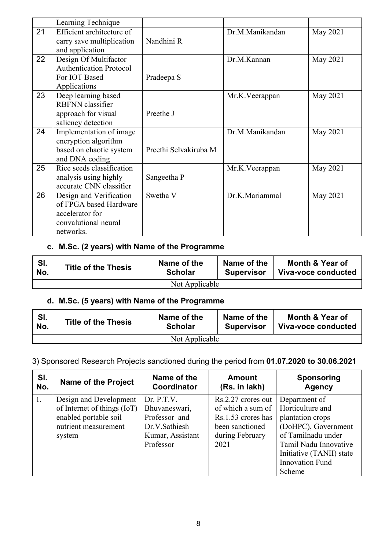|    | Learning Technique             |                       |                 |          |
|----|--------------------------------|-----------------------|-----------------|----------|
| 21 | Efficient architecture of      |                       | Dr.M.Manikandan | May 2021 |
|    | carry save multiplication      | Nandhini R            |                 |          |
|    | and application                |                       |                 |          |
| 22 | Design Of Multifactor          |                       | Dr.M.Kannan     | May 2021 |
|    | <b>Authentication Protocol</b> |                       |                 |          |
|    | For IOT Based                  | Pradeepa S            |                 |          |
|    | Applications                   |                       |                 |          |
| 23 | Deep learning based            |                       | Mr.K.Veerappan  | May 2021 |
|    | <b>RBFNN</b> classifier        |                       |                 |          |
|    | approach for visual            | Preethe J             |                 |          |
|    | saliency detection             |                       |                 |          |
| 24 | Implementation of image        |                       | Dr.M.Manikandan | May 2021 |
|    | encryption algorithm           |                       |                 |          |
|    | based on chaotic system        | Preethi Selvakiruba M |                 |          |
|    | and DNA coding                 |                       |                 |          |
| 25 | Rice seeds classification      |                       | Mr.K.Veerappan  | May 2021 |
|    | analysis using highly          | Sangeetha P           |                 |          |
|    | accurate CNN classifier        |                       |                 |          |
| 26 | Design and Verification        | Swetha V              | Dr.K.Mariammal  | May 2021 |
|    | of FPGA based Hardware         |                       |                 |          |
|    | accelerator for                |                       |                 |          |
|    | convalutional neural           |                       |                 |          |
|    | networks.                      |                       |                 |          |

## **c. M.Sc. (2 years) with Name of the Programme**

| SI.            | <b>Title of the Thesis</b> | Name of the    | Name of the       | <b>Month &amp; Year of</b> |  |  |
|----------------|----------------------------|----------------|-------------------|----------------------------|--|--|
| No.            |                            | <b>Scholar</b> | <b>Supervisor</b> | Viva-voce conducted        |  |  |
| Not Applicable |                            |                |                   |                            |  |  |

## **d. M.Sc. (5 years) with Name of the Programme**

| SI.            | <b>Title of the Thesis</b> | Name of the    | Name of the       | <b>Month &amp; Year of</b> |  |  |
|----------------|----------------------------|----------------|-------------------|----------------------------|--|--|
| No.            |                            | <b>Scholar</b> | <b>Supervisor</b> | Viva-voce conducted        |  |  |
| Not Applicable |                            |                |                   |                            |  |  |

## 3) Sponsored Research Projects sanctioned during the period from **01.07.2020 to 30.06.2021**

| SI.<br>No. | <b>Name of the Project</b>                                                                                       | Name of the<br>Coordinator                                                                     | <b>Amount</b><br>(Rs. in lakh)                                                                              | <b>Sponsoring</b><br><b>Agency</b>                                                                                          |
|------------|------------------------------------------------------------------------------------------------------------------|------------------------------------------------------------------------------------------------|-------------------------------------------------------------------------------------------------------------|-----------------------------------------------------------------------------------------------------------------------------|
| 1.         | Design and Development<br>of Internet of things (IoT)<br>enabled portable soil<br>nutrient measurement<br>system | Dr. P.T.V.<br>Bhuvaneswari,<br>Professor and<br>Dr.V.Sathiesh<br>Kumar, Assistant<br>Professor | Rs.2.27 crores out<br>of which a sum of<br>Rs.1.53 crores has<br>been sanctioned<br>during February<br>2021 | Department of<br>Horticulture and<br>plantation crops<br>(DoHPC), Government<br>of Tamilnadu under<br>Tamil Nadu Innovative |
|            |                                                                                                                  |                                                                                                |                                                                                                             | Initiative (TANII) state<br><b>Innovation Fund</b><br>Scheme                                                                |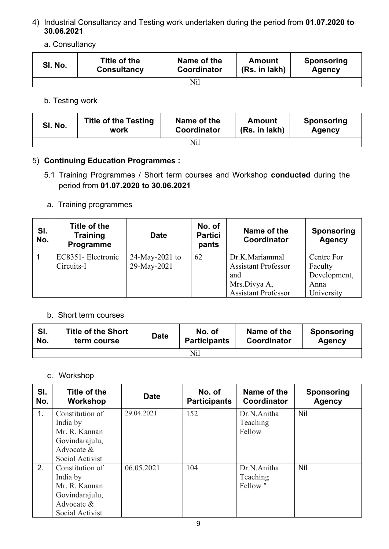#### 4) Industrial Consultancy and Testing work undertaken during the period from **01.07.2020 to 30.06.2021**

a. Consultancy

| SI. No. | Title of the       | Name of the | Amount        | <b>Sponsoring</b> |  |  |
|---------|--------------------|-------------|---------------|-------------------|--|--|
|         | <b>Consultancy</b> | Coordinator | (Rs. in lakh) | <b>Agency</b>     |  |  |
| Nil     |                    |             |               |                   |  |  |

#### b. Testing work

| SI. No. | <b>Title of the Testing</b> | Name of the | <b>Amount</b> | Sponsoring    |  |  |
|---------|-----------------------------|-------------|---------------|---------------|--|--|
|         | work                        | Coordinator | (Rs. in lakh) | <b>Agency</b> |  |  |
| Nil     |                             |             |               |               |  |  |

### 5) **Continuing Education Programmes :**

5.1 Training Programmes / Short term courses and Workshop **conducted** during the period from **01.07.2020 to 30.06.2021**

## a. Training programmes

| SI.<br>No. | Title of the<br><b>Training</b><br>Programme | <b>Date</b>    | No. of<br><b>Partici</b><br>pants | Name of the<br>Coordinator | <b>Sponsoring</b><br><b>Agency</b> |
|------------|----------------------------------------------|----------------|-----------------------------------|----------------------------|------------------------------------|
|            | EC8351- Electronic                           | 24-May-2021 to | 62                                | Dr.K.Mariammal             | Centre For                         |
|            | Circuits-I                                   | 29-May-2021    |                                   | <b>Assistant Professor</b> | Faculty                            |
|            |                                              |                |                                   | and                        | Development,                       |
|            |                                              |                |                                   | Mrs.Divya A,               | Anna                               |
|            |                                              |                |                                   | <b>Assistant Professor</b> | University                         |

### b. Short term courses

| SI. | <b>Title of the Short</b> | Date | No. of              | Name of the | <b>Sponsoring</b> |  |
|-----|---------------------------|------|---------------------|-------------|-------------------|--|
| No. | term course               |      | <b>Participants</b> | Coordinator | Agency            |  |
| Nil |                           |      |                     |             |                   |  |

#### c. Workshop

| SI.<br>No. | Title of the<br>Workshop                                                                        | <b>Date</b> | No. of<br><b>Participants</b> | Name of the<br>Coordinator         | <b>Sponsoring</b><br><b>Agency</b> |
|------------|-------------------------------------------------------------------------------------------------|-------------|-------------------------------|------------------------------------|------------------------------------|
| 1.         | Constitution of<br>India by<br>Mr. R. Kannan<br>Govindarajulu,<br>Advocate &<br>Social Activist | 29.04.2021  | 152                           | Dr.N.Anitha<br>Teaching<br>Fellow  | Nil                                |
| 2.         | Constitution of<br>India by<br>Mr. R. Kannan<br>Govindarajulu,<br>Advocate &<br>Social Activist | 06.05.2021  | 104                           | Dr.N.Anitha<br>Teaching<br>Fellow" | Nil                                |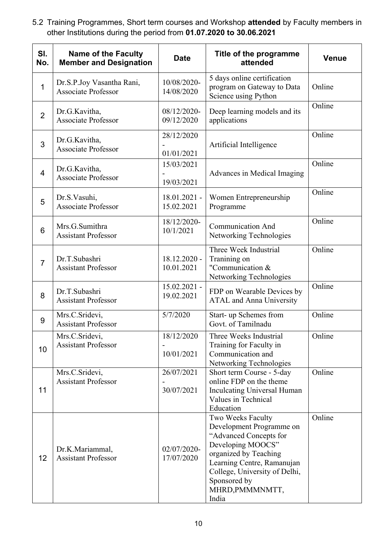5.2 Training Programmes, Short term courses and Workshop **attended** by Faculty members in other Institutions during the period from **01.07.2020 to 30.06.2021**

| SI.<br>No.     | <b>Name of the Faculty</b><br><b>Member and Designation</b> | <b>Date</b>                | Title of the programme<br>attended                                                                                                                                                                                               | <b>Venue</b> |
|----------------|-------------------------------------------------------------|----------------------------|----------------------------------------------------------------------------------------------------------------------------------------------------------------------------------------------------------------------------------|--------------|
| $\mathbf{1}$   | Dr.S.P.Joy Vasantha Rani,<br><b>Associate Professor</b>     | 10/08/2020-<br>14/08/2020  | 5 days online certification<br>program on Gateway to Data<br>Science using Python                                                                                                                                                | Online       |
| $\overline{2}$ | Dr.G.Kavitha,<br><b>Associate Professor</b>                 | 08/12/2020-<br>09/12/2020  | Deep learning models and its<br>applications                                                                                                                                                                                     | Online       |
| 3              | Dr.G.Kavitha,<br><b>Associate Professor</b>                 | 28/12/2020<br>01/01/2021   | Artificial Intelligence                                                                                                                                                                                                          | Online       |
| $\overline{4}$ | Dr.G.Kavitha,<br><b>Associate Professor</b>                 | 15/03/2021<br>19/03/2021   | Advances in Medical Imaging                                                                                                                                                                                                      | Online       |
| 5              | Dr.S.Vasuhi,<br><b>Associate Professor</b>                  | 18.01.2021 -<br>15.02.2021 | Women Entrepreneurship<br>Programme                                                                                                                                                                                              | Online       |
| 6              | Mrs.G.Sumithra<br><b>Assistant Professor</b>                | 18/12/2020-<br>10/1/2021   | <b>Communication And</b><br>Networking Technologies                                                                                                                                                                              | Online       |
| $\overline{7}$ | Dr.T.Subashri<br><b>Assistant Professor</b>                 | 18.12.2020 -<br>10.01.2021 | Three Week Industrial<br>Tranining on<br>"Communication &<br>Networking Technologies                                                                                                                                             | Online       |
| 8              | Dr.T.Subashri<br><b>Assistant Professor</b>                 | 15.02.2021 -<br>19.02.2021 | FDP on Wearable Devices by<br><b>ATAL and Anna University</b>                                                                                                                                                                    | Online       |
| 9              | Mrs.C.Sridevi,<br><b>Assistant Professor</b>                | 5/7/2020                   | Start- up Schemes from<br>Govt. of Tamilnadu                                                                                                                                                                                     | Online       |
| 10             | Mrs.C.Sridevi,<br><b>Assistant Professor</b>                | 18/12/2020<br>10/01/2021   | Three Weeks Industrial<br>Training for Faculty in<br>Communication and<br>Networking Technologies                                                                                                                                | Online       |
| 11             | Mrs.C.Sridevi,<br><b>Assistant Professor</b>                | 26/07/2021<br>30/07/2021   | Short term Course - 5-day<br>online FDP on the theme<br><b>Inculcating Universal Human</b><br>Values in Technical<br>Education                                                                                                   | Online       |
| 12             | Dr.K.Mariammal,<br><b>Assistant Professor</b>               | 02/07/2020-<br>17/07/2020  | Two Weeks Faculty<br>Development Programme on<br>"Advanced Concepts for<br>Developing MOOCS"<br>organized by Teaching<br>Learning Centre, Ramanujan<br>College, University of Delhi,<br>Sponsored by<br>MHRD, PMMMNMTT,<br>India | Online       |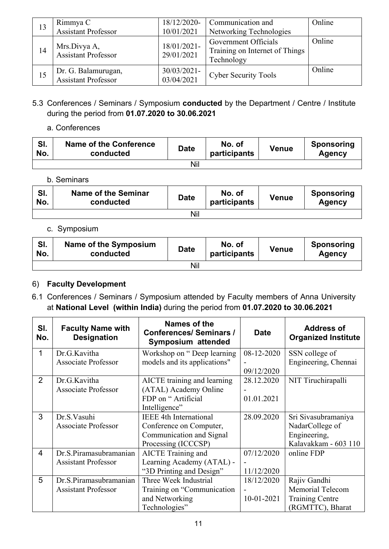| 13 | Rimmya C                                          | 18/12/2020-               | Communication and                                                    | Online |
|----|---------------------------------------------------|---------------------------|----------------------------------------------------------------------|--------|
|    | <b>Assistant Professor</b>                        | 10/01/2021                | Networking Technologies                                              |        |
| 14 | Mrs.Divya A,<br>Assistant Professor               | 18/01/2021-<br>29/01/2021 | Government Officials<br>Training on Internet of Things<br>Technology | Online |
| 15 | Dr. G. Balamurugan,<br><b>Assistant Professor</b> | 30/03/2021-<br>03/04/2021 | Cyber Security Tools                                                 | Online |

## 5.3 Conferences / Seminars / Symposium **conducted** by the Department / Centre / Institute during the period from **01.07.2020 to 30.06.2021**

#### a. Conferences

| SI.<br>No. | Name of the Conference<br>conducted | <b>Date</b> | No. of<br>participants | <b>Venue</b> | Sponsoring<br>Agency |
|------------|-------------------------------------|-------------|------------------------|--------------|----------------------|
|            |                                     | Nil         |                        |              |                      |

## b. Seminars

| SI.<br>No. | Name of the Seminar<br>conducted | <b>Date</b> | No. of<br>participants | <b>Venue</b> | <b>Sponsoring</b><br><b>Agency</b> |
|------------|----------------------------------|-------------|------------------------|--------------|------------------------------------|
|            |                                  | Nil         |                        |              |                                    |

### c. Symposium

| SI.<br>No. | Name of the Symposium<br>conducted | <b>Date</b> | No. of<br>participants | <b>Venue</b> | <b>Sponsoring</b><br><b>Agency</b> |
|------------|------------------------------------|-------------|------------------------|--------------|------------------------------------|
| Nil        |                                    |             |                        |              |                                    |

## 6) **Faculty Development**

6.1 Conferences / Seminars / Symposium attended by Faculty members of Anna University at **National Level (within India)** during the period from **01.07.2020 to 30.06.2021**

| SI.<br>No.     | <b>Faculty Name with</b><br><b>Designation</b> | Names of the<br><b>Conferences/ Seminars /</b><br>Symposium attended | <b>Date</b>  | <b>Address of</b><br><b>Organized Institute</b> |
|----------------|------------------------------------------------|----------------------------------------------------------------------|--------------|-------------------------------------------------|
| $\mathbf 1$    | Dr.G.Kavitha                                   | Workshop on "Deep learning"                                          | 08-12-2020   | SSN college of                                  |
|                | <b>Associate Professor</b>                     | models and its applications"                                         |              | Engineering, Chennai                            |
|                |                                                |                                                                      | 09/12/2020   |                                                 |
| 2              | Dr.G.Kavitha                                   | AICTE training and learning                                          | 28.12.2020   | NIT Tiruchirapalli                              |
|                | <b>Associate Professor</b>                     | (ATAL) Academy Online                                                |              |                                                 |
|                |                                                | FDP on "Artificial                                                   | 01.01.2021   |                                                 |
|                |                                                | Intelligence"                                                        |              |                                                 |
| 3              | Dr.S. Vasuhi                                   | <b>IEEE 4th International</b>                                        | 28.09.2020   | Sri Sivasubramaniya                             |
|                | <b>Associate Professor</b>                     | Conference on Computer,                                              |              | NadarCollege of                                 |
|                |                                                | Communication and Signal                                             |              | Engineering,                                    |
|                |                                                | Processing (ICCCSP)                                                  |              | Kalavakkam - 603 110                            |
| $\overline{4}$ | Dr.S.Piramasubramanian                         | <b>AICTE</b> Training and                                            | 07/12/2020   | online FDP                                      |
|                | <b>Assistant Professor</b>                     | Learning Academy (ATAL) -                                            |              |                                                 |
|                |                                                | "3D Printing and Design"                                             | 11/12/2020   |                                                 |
| 5              | Dr.S.Piramasubramanian                         | Three Week Industrial                                                | 18/12/2020   | Rajiv Gandhi                                    |
|                | <b>Assistant Professor</b>                     | Training on "Communication"                                          |              | Memorial Telecom                                |
|                |                                                | and Networking                                                       | $10-01-2021$ | <b>Training Centre</b>                          |
|                |                                                | Technologies"                                                        |              | (RGMTTC), Bharat                                |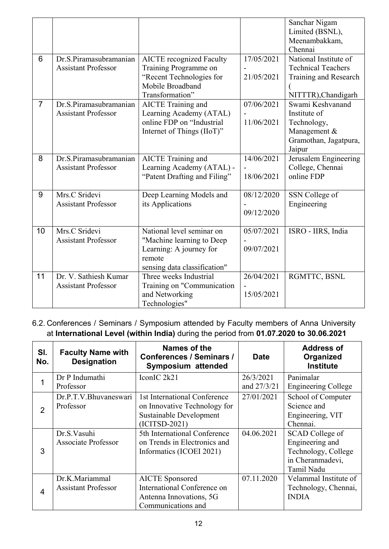|                |                            |                                 |            | Sanchar Nigam             |
|----------------|----------------------------|---------------------------------|------------|---------------------------|
|                |                            |                                 |            | Limited (BSNL),           |
|                |                            |                                 |            | Meenambakkam,             |
|                |                            |                                 |            | Chennai                   |
| 6              | Dr.S.Piramasubramanian     | <b>AICTE</b> recognized Faculty | 17/05/2021 | National Institute of     |
|                | <b>Assistant Professor</b> | Training Programme on           |            | <b>Technical Teachers</b> |
|                |                            | "Recent Technologies for        | 21/05/2021 | Training and Research     |
|                |                            | Mobile Broadband                |            |                           |
|                |                            | Transformation"                 |            | NITTTR), Chandigarh       |
| $\overline{7}$ | Dr.S.Piramasubramanian     | <b>AICTE</b> Training and       | 07/06/2021 | Swami Keshvanand          |
|                | <b>Assistant Professor</b> | Learning Academy (ATAL)         |            | Institute of              |
|                |                            | online FDP on "Industrial       | 11/06/2021 | Technology,               |
|                |                            | Internet of Things (IIoT)"      |            | Management &              |
|                |                            |                                 |            | Gramothan, Jagatpura,     |
|                |                            |                                 |            | Jaipur                    |
| 8              | Dr.S.Piramasubramanian     | <b>AICTE</b> Training and       | 14/06/2021 | Jerusalem Engineering     |
|                | <b>Assistant Professor</b> | Learning Academy (ATAL) -       |            | College, Chennai          |
|                |                            | "Patent Drafting and Filing"    | 18/06/2021 | online FDP                |
|                |                            |                                 |            |                           |
| 9              | Mrs.C Sridevi              | Deep Learning Models and        | 08/12/2020 | SSN College of            |
|                | <b>Assistant Professor</b> | its Applications                |            | Engineering               |
|                |                            |                                 | 09/12/2020 |                           |
|                |                            |                                 |            |                           |
| 10             | Mrs.C Sridevi              | National level seminar on       | 05/07/2021 | ISRO - IIRS, India        |
|                | <b>Assistant Professor</b> | "Machine learning to Deep       |            |                           |
|                |                            | Learning: A journey for         | 09/07/2021 |                           |
|                |                            | remote                          |            |                           |
|                |                            | sensing data classification"    |            |                           |
| 11             | Dr. V. Sathiesh Kumar      | Three weeks Industrial          | 26/04/2021 | RGMTTC, BSNL              |
|                | <b>Assistant Professor</b> | Training on "Communication      |            |                           |
|                |                            | and Networking                  | 15/05/2021 |                           |
|                |                            | Technologies"                   |            |                           |

6.2. Conferences / Seminars / Symposium attended by Faculty members of Anna University at **International Level (within India)** during the period from **01.07.2020 to 30.06.2021**

| SI.<br>No.     | <b>Faculty Name with</b><br><b>Designation</b> | Names of the<br><b>Conferences / Seminars /</b><br>Symposium attended                                      | <b>Date</b>              | <b>Address of</b><br>Organized<br><b>Institute</b>                                          |
|----------------|------------------------------------------------|------------------------------------------------------------------------------------------------------------|--------------------------|---------------------------------------------------------------------------------------------|
|                | Dr P Indumathi<br>Professor                    | IconIC 2k21                                                                                                | 26/3/2021<br>and 27/3/21 | Panimalar<br><b>Engineering College</b>                                                     |
| $\overline{2}$ | Dr.P.T.V.Bhuvaneswari<br>Professor             | 1st International Conference<br>on Innovative Technology for<br>Sustainable Development<br>$(ICITSD-2021)$ | 27/01/2021               | School of Computer<br>Science and<br>Engineering, VIT<br>Chennai.                           |
| 3              | Dr.S.Vasuhi<br><b>Associate Professor</b>      | 5th International Conference<br>on Trends in Electronics and<br>Informatics (ICOEI 2021)                   | 04.06.2021               | SCAD College of<br>Engineering and<br>Technology, College<br>in Cheranmadevi,<br>Tamil Nadu |
| $\overline{4}$ | Dr.K.Mariammal<br><b>Assistant Professor</b>   | <b>AICTE</b> Sponsored<br>International Conference on<br>Antenna Innovations, 5G<br>Communications and     | 07.11.2020               | Velammal Institute of<br>Technology, Chennai,<br><b>INDIA</b>                               |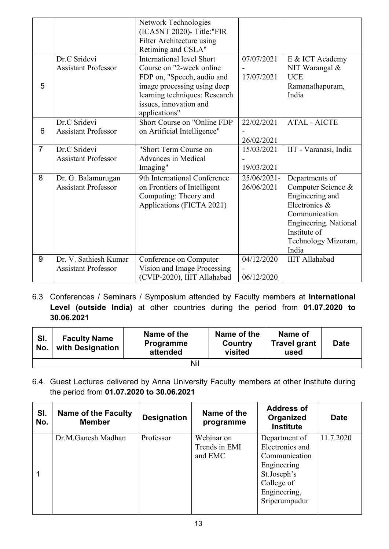|                |                            | Network Technologies<br>(ICA5NT 2020)- Title:"FIR |             |                       |
|----------------|----------------------------|---------------------------------------------------|-------------|-----------------------|
|                |                            | Filter Architecture using                         |             |                       |
|                |                            | Retiming and CSLA"                                |             |                       |
|                | Dr.C Sridevi               | <b>International level Short</b>                  | 07/07/2021  | E & ICT Academy       |
|                | <b>Assistant Professor</b> | Course on "2-week online"                         |             | NIT Warangal &        |
|                |                            | FDP on, "Speech, audio and                        | 17/07/2021  | <b>UCE</b>            |
| 5              |                            | image processing using deep                       |             | Ramanathapuram,       |
|                |                            | learning techniques: Research                     |             | India                 |
|                |                            | issues, innovation and                            |             |                       |
|                |                            | applications"                                     |             |                       |
|                | Dr.C Sridevi               | Short Course on "Online FDP                       | 22/02/2021  | <b>ATAL - AICTE</b>   |
| 6              | <b>Assistant Professor</b> | on Artificial Intelligence"                       |             |                       |
|                |                            |                                                   | 26/02/2021  |                       |
| $\overline{7}$ | Dr.C Sridevi               | "Short Term Course on                             | 15/03/2021  | IIT - Varanasi, India |
|                | <b>Assistant Professor</b> | Advances in Medical                               |             |                       |
|                |                            | Imaging"                                          | 19/03/2021  |                       |
| 8              | Dr. G. Balamurugan         | 9th International Conference                      | 25/06/2021- | Departments of        |
|                | <b>Assistant Professor</b> | on Frontiers of Intelligent                       | 26/06/2021  | Computer Science &    |
|                |                            | Computing: Theory and                             |             | Engineering and       |
|                |                            | Applications (FICTA 2021)                         |             | Electronics &         |
|                |                            |                                                   |             | Communication         |
|                |                            |                                                   |             | Engineering. National |
|                |                            |                                                   |             | Institute of          |
|                |                            |                                                   |             | Technology Mizoram,   |
|                |                            |                                                   |             | India                 |
| 9              | Dr. V. Sathiesh Kumar      | Conference on Computer                            | 04/12/2020  | <b>IIIT Allahabad</b> |
|                | <b>Assistant Professor</b> | Vision and Image Processing                       |             |                       |
|                |                            | (CVIP-2020), IIIT Allahabad                       | 06/12/2020  |                       |

6.3 Conferences / Seminars / Symposium attended by Faculty members at **International Level (outside India)** at other countries during the period from **01.07.2020 to 30.06.2021**

| SI.<br>No. | <b>Faculty Name</b><br>with Designation | Name of the<br><b>Programme</b><br>attended | Name of the<br>Country<br>visited | Name of<br><b>Travel grant</b><br>used | <b>Date</b> |
|------------|-----------------------------------------|---------------------------------------------|-----------------------------------|----------------------------------------|-------------|
| Nil        |                                         |                                             |                                   |                                        |             |

6.4. Guest Lectures delivered by Anna University Faculty members at other Institute during the period from **01.07.2020 to 30.06.2021**

| SI.<br>No. | <b>Name of the Faculty</b><br><b>Member</b> | <b>Designation</b> | Name of the<br>programme | <b>Address of</b><br>Organized<br><b>Institute</b> | <b>Date</b> |
|------------|---------------------------------------------|--------------------|--------------------------|----------------------------------------------------|-------------|
|            | Dr.M.Ganesh Madhan                          | Professor          | Webinar on               | Department of                                      | 11.7.2020   |
|            |                                             |                    | Trends in EMI            | Electronics and                                    |             |
|            |                                             |                    | and EMC                  | Communication                                      |             |
|            |                                             |                    |                          | Engineering                                        |             |
|            |                                             |                    |                          | St.Joseph's                                        |             |
|            |                                             |                    |                          | College of                                         |             |
|            |                                             |                    |                          | Engineering,                                       |             |
|            |                                             |                    |                          | Sriperumpudur                                      |             |
|            |                                             |                    |                          |                                                    |             |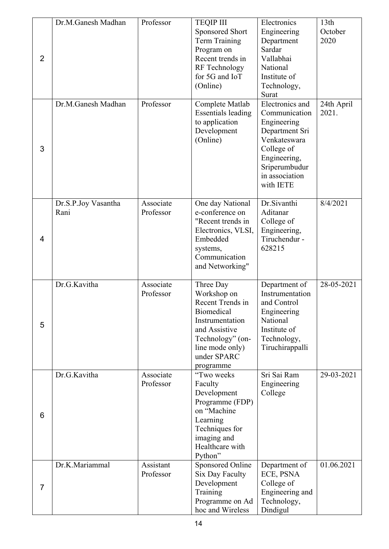|                | Dr.M.Ganesh Madhan  | Professor              | <b>TEQIP III</b>                           | Electronics                    | 13 <sup>th</sup> |
|----------------|---------------------|------------------------|--------------------------------------------|--------------------------------|------------------|
|                |                     |                        | Sponsored Short                            | Engineering                    | October          |
|                |                     |                        | Term Training                              | Department                     | 2020             |
|                |                     |                        | Program on                                 | Sardar                         |                  |
| $\overline{2}$ |                     |                        | Recent trends in                           | Vallabhai                      |                  |
|                |                     |                        | <b>RF</b> Technology                       | National                       |                  |
|                |                     |                        | for 5G and IoT                             | Institute of                   |                  |
|                |                     |                        | (Online)                                   | Technology,                    |                  |
|                |                     |                        |                                            | Surat                          |                  |
|                | Dr.M.Ganesh Madhan  | Professor              | Complete Matlab                            | Electronics and                | 24th April       |
|                |                     |                        | <b>Essentials leading</b>                  | Communication                  | 2021.            |
|                |                     |                        | to application                             | Engineering                    |                  |
|                |                     |                        | Development<br>(Online)                    | Department Sri<br>Venkateswara |                  |
| 3              |                     |                        |                                            | College of                     |                  |
|                |                     |                        |                                            | Engineering,                   |                  |
|                |                     |                        |                                            | Sriperumbudur                  |                  |
|                |                     |                        |                                            | in association                 |                  |
|                |                     |                        |                                            | with IETE                      |                  |
|                |                     |                        |                                            |                                |                  |
|                | Dr.S.P.Joy Vasantha | Associate              | One day National                           | Dr.Sivanthi                    | 8/4/2021         |
|                | Rani                | Professor              | e-conference on                            | Aditanar                       |                  |
|                |                     |                        | "Recent trends in                          | College of                     |                  |
|                |                     |                        | Electronics, VLSI,                         | Engineering,                   |                  |
| 4              |                     |                        | Embedded                                   | Tiruchendur -                  |                  |
|                |                     |                        | systems,                                   | 628215                         |                  |
|                |                     |                        | Communication                              |                                |                  |
|                |                     |                        | and Networking"                            |                                |                  |
|                | Dr.G.Kavitha        | Associate              | Three Day                                  | Department of                  | 28-05-2021       |
|                |                     | Professor              | Workshop on                                | Instrumentation                |                  |
|                |                     |                        | Recent Trends in                           | and Control                    |                  |
|                |                     |                        | Biomedical                                 | Engineering                    |                  |
| 5              |                     |                        | Instrumentation                            | National                       |                  |
|                |                     |                        | and Assistive                              | Institute of                   |                  |
|                |                     |                        | Technology" (on-                           | Technology,                    |                  |
|                |                     |                        | line mode only)<br>under SPARC             | Tiruchirappalli                |                  |
|                |                     |                        |                                            |                                |                  |
|                | Dr.G.Kavitha        | Associate              | programme<br>"Two weeks                    | Sri Sai Ram                    | 29-03-2021       |
|                |                     | Professor              | Faculty                                    | Engineering                    |                  |
|                |                     |                        | Development                                | College                        |                  |
|                |                     |                        | Programme (FDP)                            |                                |                  |
|                |                     |                        | on "Machine                                |                                |                  |
| 6              |                     |                        | Learning                                   |                                |                  |
|                |                     |                        | Techniques for                             |                                |                  |
|                |                     |                        | imaging and                                |                                |                  |
|                |                     |                        | Healthcare with                            |                                |                  |
|                |                     |                        | Python"                                    |                                |                  |
|                | Dr.K.Mariammal      | Assistant<br>Professor | Sponsored Online<br><b>Six Day Faculty</b> | Department of<br>ECE, PSNA     | 01.06.2021       |
|                |                     |                        | Development                                | College of                     |                  |
| $\overline{7}$ |                     |                        | Training                                   | Engineering and                |                  |
|                |                     |                        | Programme on Ad                            | Technology,                    |                  |
|                |                     |                        | hoc and Wireless                           | Dindigul                       |                  |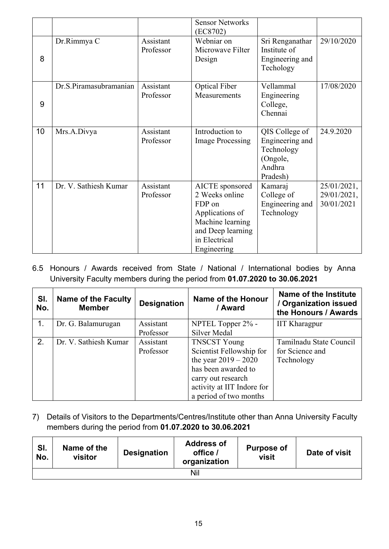|    |                        |                        | <b>Sensor Networks</b><br>(EC8702)                                                                                                      |                                                                                   |                                          |
|----|------------------------|------------------------|-----------------------------------------------------------------------------------------------------------------------------------------|-----------------------------------------------------------------------------------|------------------------------------------|
| 8  | Dr.Rimmya C            | Assistant<br>Professor | Webniar on<br>Microwave Filter<br>Design                                                                                                | Sri Renganathar<br>Institute of<br>Engineering and<br>Techology                   | 29/10/2020                               |
| 9  | Dr.S.Piramasubramanian | Assistant<br>Professor | <b>Optical Fiber</b><br>Measurements                                                                                                    | Vellammal<br>Engineering<br>College,<br>Chennai                                   | 17/08/2020                               |
| 10 | Mrs.A.Divya            | Assistant<br>Professor | Introduction to<br><b>Image Processing</b>                                                                                              | QIS College of<br>Engineering and<br>Technology<br>(Ongole,<br>Andhra<br>Pradesh) | 24.9.2020                                |
| 11 | Dr. V. Sathiesh Kumar  | Assistant<br>Professor | AICTE sponsored<br>2 Weeks online<br>FDP on<br>Applications of<br>Machine learning<br>and Deep learning<br>in Electrical<br>Engineering | Kamaraj<br>College of<br>Engineering and<br>Technology                            | 25/01/2021,<br>29/01/2021,<br>30/01/2021 |

6.5 Honours / Awards received from State / National / International bodies by Anna University Faculty members during the period from **01.07.2020 to 30.06.2021**

| SI.<br>No. | Name of the Faculty<br><b>Member</b> | <b>Designation</b> | <b>Name of the Honour</b><br>/ Award | Name of the Institute<br>/ Organization issued<br>the Honours / Awards |
|------------|--------------------------------------|--------------------|--------------------------------------|------------------------------------------------------------------------|
| 1.         | Dr. G. Balamurugan                   | Assistant          | NPTEL Topper 2% -                    | <b>IIT Kharagpur</b>                                                   |
|            |                                      | Professor          | <b>Silver Medal</b>                  |                                                                        |
| 2.         | Dr. V. Sathiesh Kumar                | Assistant          | <b>TNSCST Young</b>                  | Tamilnadu State Council                                                |
|            |                                      | Professor          | Scientist Fellowship for             | for Science and                                                        |
|            |                                      |                    | the year $2019 - 2020$               | Technology                                                             |
|            |                                      |                    | has been awarded to                  |                                                                        |
|            |                                      |                    | carry out research                   |                                                                        |
|            |                                      |                    | activity at IIT Indore for           |                                                                        |
|            |                                      |                    | a period of two months               |                                                                        |

7) Details of Visitors to the Departments/Centres/Institute other than Anna University Faculty members during the period from **01.07.2020 to 30.06.2021**

| SI.<br>No. | Name of the<br>visitor | <b>Designation</b> | <b>Address of</b><br>office /<br>organization | <b>Purpose of</b><br>visit | Date of visit |
|------------|------------------------|--------------------|-----------------------------------------------|----------------------------|---------------|
| Nil        |                        |                    |                                               |                            |               |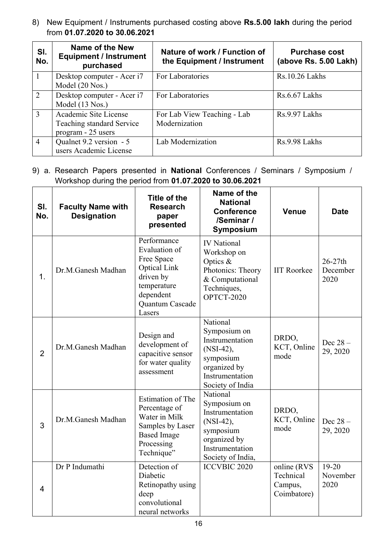8) New Equipment / Instruments purchased costing above **Rs.5.00 lakh** during the period from **01.07.2020 to 30.06.2021**

| SI.<br>No.     | Name of the New<br><b>Equipment / Instrument</b><br>purchased            | Nature of work / Function of<br>the Equipment / Instrument | <b>Purchase cost</b><br>(above Rs. 5.00 Lakh) |
|----------------|--------------------------------------------------------------------------|------------------------------------------------------------|-----------------------------------------------|
| 1              | Desktop computer - Acer i7<br>Model (20 Nos.)                            | For Laboratories                                           | $Rs.10.26$ Lakhs                              |
| 2              | Desktop computer - Acer i7<br>Model (13 Nos.)                            | For Laboratories                                           | Rs.6.67 Lakhs                                 |
| 3              | Academic Site License<br>Teaching standard Service<br>program - 25 users | For Lab View Teaching - Lab<br>Modernization               | Rs.9.97 Lakhs                                 |
| $\overline{4}$ | Qualnet 9.2 version - 5<br>users Academic License                        | Lab Modernization                                          | Rs.9.98 Lakhs                                 |

9) a. Research Papers presented in **National** Conferences / Seminars / Symposium / Workshop during the period from **01.07.2020 to 30.06.2021**

| SI.<br>No.     | <b>Faculty Name with</b><br><b>Designation</b> | <b>Title of the</b><br><b>Research</b><br>paper<br>presented                                                                            | Name of the<br><b>National</b><br><b>Conference</b><br>/Seminar /<br>Symposium                                                   | <b>Venue</b>                                       | <b>Date</b>                   |
|----------------|------------------------------------------------|-----------------------------------------------------------------------------------------------------------------------------------------|----------------------------------------------------------------------------------------------------------------------------------|----------------------------------------------------|-------------------------------|
| 1.             | Dr.M.Ganesh Madhan                             | Performance<br>Evaluation of<br>Free Space<br><b>Optical Link</b><br>driven by<br>temperature<br>dependent<br>Quantum Cascade<br>Lasers | <b>IV</b> National<br>Workshop on<br>Optics &<br>Photonics: Theory<br>& Computational<br>Techniques,<br><b>OPTCT-2020</b>        | <b>IIT Roorkee</b>                                 | $26-27th$<br>December<br>2020 |
| $\overline{2}$ | Dr.M.Ganesh Madhan                             | Design and<br>development of<br>capacitive sensor<br>for water quality<br>assessment                                                    | National<br>Symposium on<br>Instrumentation<br>$(NSI-42)$ ,<br>symposium<br>organized by<br>Instrumentation<br>Society of India  | DRDO,<br>KCT, Online<br>mode                       | Dec $28 -$<br>29, 2020        |
| 3              | Dr.M.Ganesh Madhan                             | Estimation of The<br>Percentage of<br>Water in Milk<br>Samples by Laser<br><b>Based Image</b><br>Processing<br>Technique"               | National<br>Symposium on<br>Instrumentation<br>$(NSI-42)$ ,<br>symposium<br>organized by<br>Instrumentation<br>Society of India, | DRDO,<br>KCT, Online<br>mode                       | Dec 28-<br>29, 2020           |
| 4              | Dr P Indumathi                                 | Detection of<br>Diabetic<br>Retinopathy using<br>deep<br>convolutional<br>neural networks                                               | <b>ICCVBIC 2020</b>                                                                                                              | online (RVS<br>Technical<br>Campus,<br>Coimbatore) | $19-20$<br>November<br>2020   |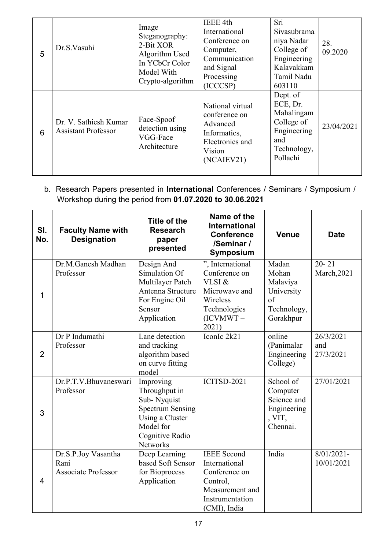| 5 | Dr.S.Vasuhi                                         | Image<br>Steganography:<br>2-Bit XOR<br>Algorithm Used<br>In YCbCr Color<br>Model With<br>Crypto-algorithm | <b>IEEE 4th</b><br>International<br>Conference on<br>Computer,<br>Communication<br>and Signal<br>Processing<br>(ICCCSP) | Sri<br>Sivasubrama<br>niya Nadar<br>College of<br>Engineering<br>Kalavakkam<br>Tamil Nadu<br>603110 | 28.<br>09.2020 |
|---|-----------------------------------------------------|------------------------------------------------------------------------------------------------------------|-------------------------------------------------------------------------------------------------------------------------|-----------------------------------------------------------------------------------------------------|----------------|
| 6 | Dr. V. Sathiesh Kumar<br><b>Assistant Professor</b> | Face-Spoof<br>detection using<br>VGG-Face<br>Architecture                                                  | National virtual<br>conference on<br>Advanced<br>Informatics,<br>Electronics and<br>Vision<br>(NCAIEV21)                | Dept. of<br>ECE, Dr.<br>Mahalingam<br>College of<br>Engineering<br>and<br>Technology,<br>Pollachi   | 23/04/2021     |

b. Research Papers presented in **International** Conferences / Seminars / Symposium / Workshop during the period from **01.07.2020 to 30.06.2021**

| SI.<br>No.     | <b>Faculty Name with</b><br><b>Designation</b>            | <b>Title of the</b><br><b>Research</b><br>paper<br>presented                                                                               | Name of the<br><b>International</b><br><b>Conference</b><br>/Seminar /<br>Symposium                                    | <b>Venue</b>                                                               | <b>Date</b>                   |
|----------------|-----------------------------------------------------------|--------------------------------------------------------------------------------------------------------------------------------------------|------------------------------------------------------------------------------------------------------------------------|----------------------------------------------------------------------------|-------------------------------|
| 1              | Dr.M.Ganesh Madhan<br>Professor                           | Design And<br>Simulation Of<br>Multilayer Patch<br>Antenna Structure<br>For Engine Oil<br>Sensor<br>Application                            | ", International<br>Conference on<br>VLSI &<br>Microwave and<br>Wireless<br>Technologies<br>$(ICVMWT -$<br>2021)       | Madan<br>Mohan<br>Malaviya<br>University<br>of<br>Technology,<br>Gorakhpur | $20 - 21$<br>March, 2021      |
| $\overline{2}$ | Dr P Indumathi<br>Professor                               | Lane detection<br>and tracking<br>algorithm based<br>on curve fitting<br>model                                                             | IconIc 2k21                                                                                                            | online<br>(Panimalar<br>Engineering<br>College)                            | 26/3/2021<br>and<br>27/3/2021 |
| 3              | Dr.P.T.V.Bhuvaneswari<br>Professor                        | Improving<br>Throughput in<br>Sub-Nyquist<br><b>Spectrum Sensing</b><br>Using a Cluster<br>Model for<br>Cognitive Radio<br><b>Networks</b> | <b>ICITSD-2021</b>                                                                                                     | School of<br>Computer<br>Science and<br>Engineering<br>, VIT,<br>Chennai.  | 27/01/2021                    |
| 4              | Dr.S.P.Joy Vasantha<br>Rani<br><b>Associate Professor</b> | Deep Learning<br>based Soft Sensor<br>for Bioprocess<br>Application                                                                        | <b>IEEE</b> Second<br>International<br>Conference on<br>Control,<br>Measurement and<br>Instrumentation<br>(CMI), India | India                                                                      | $8/01/2021 -$<br>10/01/2021   |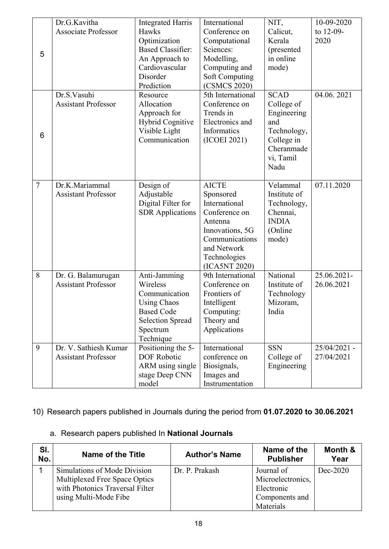|                | Dr.G.Kavitha               | <b>Integrated Harris</b> | International     | NIT,         | 10-09-2020   |
|----------------|----------------------------|--------------------------|-------------------|--------------|--------------|
|                | <b>Associate Professor</b> | Hawks                    | Conference on     | Calicut,     | to 12-09-    |
|                |                            | Optimization             | Computational     | Kerala       | 2020         |
|                |                            | <b>Based Classifier:</b> | Sciences:         | (presented   |              |
| 5              |                            | An Approach to           | Modelling,        | in online    |              |
|                |                            | Cardiovascular           | Computing and     | mode)        |              |
|                |                            | Disorder                 | Soft Computing    |              |              |
|                |                            | Prediction               | (CSMCS 2020)      |              |              |
|                | Dr.S.Vasuhi                | Resource                 | 5th International | <b>SCAD</b>  | 04.06.2021   |
|                | <b>Assistant Professor</b> | Allocation               | Conference on     | College of   |              |
|                |                            | Approach for             | Trends in         | Engineering  |              |
|                |                            | <b>Hybrid Cognitive</b>  | Electronics and   | and          |              |
| 6              |                            | Visible Light            | Informatics       | Technology,  |              |
|                |                            | Communication            | (ICOEI 2021)      | College in   |              |
|                |                            |                          |                   | Cheranmade   |              |
|                |                            |                          |                   | vi, Tamil    |              |
|                |                            |                          |                   | Nadu         |              |
|                |                            |                          |                   |              |              |
| $\overline{7}$ | Dr.K.Mariammal             | Design of                | <b>AICTE</b>      | Velammal     | 07.11.2020   |
|                | <b>Assistant Professor</b> | Adjustable               | Sponsored         | Institute of |              |
|                |                            | Digital Filter for       | International     | Technology,  |              |
|                |                            | <b>SDR</b> Applications  | Conference on     | Chennai,     |              |
|                |                            |                          | Antenna           | <b>INDIA</b> |              |
|                |                            |                          | Innovations, 5G   | (Online      |              |
|                |                            |                          | Communications    | mode)        |              |
|                |                            |                          | and Network       |              |              |
|                |                            |                          | Technologies      |              |              |
|                |                            |                          | (ICA5NT 2020)     |              |              |
| 8              | Dr. G. Balamurugan         | Anti-Jamming             | 9th International | National     | 25.06.2021-  |
|                | <b>Assistant Professor</b> | Wireless                 | Conference on     | Institute of | 26.06.2021   |
|                |                            | Communication            | Frontiers of      | Technology   |              |
|                |                            | <b>Using Chaos</b>       | Intelligent       | Mizoram,     |              |
|                |                            | <b>Based Code</b>        | Computing:        | India        |              |
|                |                            | <b>Selection Spread</b>  | Theory and        |              |              |
|                |                            | Spectrum                 | Applications      |              |              |
|                |                            | Technique                |                   |              |              |
| 9              | Dr. V. Sathiesh Kumar      | Positioning the 5-       | International     | <b>SSN</b>   | 25/04/2021 - |
|                | <b>Assistant Professor</b> | <b>DOF Robotic</b>       | conference on     | College of   | 27/04/2021   |
|                |                            | ARM using single         | Biosignals,       | Engineering  |              |
|                |                            | stage Deep CNN           | Images and        |              |              |
|                |                            | model                    | Instrumentation   |              |              |

## 10) Research papers published in Journals during the period from **01.07.2020 to 30.06.2021**

| SI.<br>No. | Name of the Title                                                                                                         | <b>Author's Name</b> | Name of the<br><b>Publisher</b>                                              | Month &<br>Year |
|------------|---------------------------------------------------------------------------------------------------------------------------|----------------------|------------------------------------------------------------------------------|-----------------|
|            | Simulations of Mode Division<br>Multiplexed Free Space Optics<br>with Photonics Traversal Filter<br>using Multi-Mode Fibe | Dr. P. Prakash       | Journal of<br>Microelectronics,<br>Electronic<br>Components and<br>Materials | Dec-2020        |

a. Research papers published In **National Journals**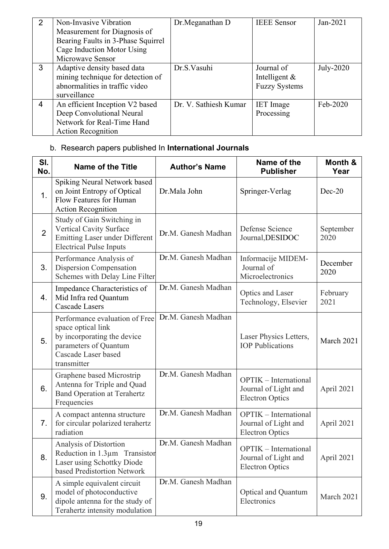| 2 | Non-Invasive Vibration             | Dr.Meganathan D       | <b>IEEE</b> Sensor   | $Jan-2021$ |
|---|------------------------------------|-----------------------|----------------------|------------|
|   | Measurement for Diagnosis of       |                       |                      |            |
|   | Bearing Faults in 3-Phase Squirrel |                       |                      |            |
|   | Cage Induction Motor Using         |                       |                      |            |
|   | Microwave Sensor                   |                       |                      |            |
| 3 | Adaptive density based data        | Dr.S.Vasuhi           | Journal of           | July-2020  |
|   | mining technique for detection of  |                       | Intelligent $\&$     |            |
|   | abnormalities in traffic video     |                       | <b>Fuzzy Systems</b> |            |
|   | surveillance                       |                       |                      |            |
| 4 | An efficient Inception V2 based    | Dr. V. Sathiesh Kumar | <b>IET</b> Image     | Feb-2020   |
|   | Deep Convolutional Neural          |                       | Processing           |            |
|   | Network for Real-Time Hand         |                       |                      |            |
|   | <b>Action Recognition</b>          |                       |                      |            |

## b. Research papers published In **International Journals**

| SI.<br>No.     | <b>Name of the Title</b>                                                                                                                           | <b>Author's Name</b> | Name of the<br><b>Publisher</b>                                                | Month &<br>Year   |
|----------------|----------------------------------------------------------------------------------------------------------------------------------------------------|----------------------|--------------------------------------------------------------------------------|-------------------|
| 1.             | Spiking Neural Network based<br>on Joint Entropy of Optical<br>Flow Features for Human<br><b>Action Recognition</b>                                | Dr.Mala John         | Springer-Verlag                                                                | $Dec-20$          |
| $\overline{2}$ | Study of Gain Switching in<br>Vertical Cavity Surface<br><b>Emitting Laser under Different</b><br><b>Electrical Pulse Inputs</b>                   | Dr.M. Ganesh Madhan  | Defense Science<br>Journal, DESIDOC                                            | September<br>2020 |
| 3.             | Performance Analysis of<br>Dispersion Compensation<br>Schemes with Delay Line Filter                                                               | Dr.M. Ganesh Madhan  | Informacije MIDEM-<br>Journal of<br>Microelectronics                           | December<br>2020  |
| 4.             | Impedance Characteristics of<br>Mid Infra red Quantum<br><b>Cascade Lasers</b>                                                                     | Dr.M. Ganesh Madhan  | Optics and Laser<br>Technology, Elsevier                                       | February<br>2021  |
| 5.             | Performance evaluation of Free<br>space optical link<br>by incorporating the device<br>parameters of Quantum<br>Cascade Laser based<br>transmitter | Dr.M. Ganesh Madhan  | Laser Physics Letters,<br><b>IOP</b> Publications                              | March 2021        |
| 6.             | Graphene based Microstrip<br>Antenna for Triple and Quad<br><b>Band Operation at Terahertz</b><br>Frequencies                                      | Dr.M. Ganesh Madhan  | <b>OPTIK</b> – International<br>Journal of Light and<br><b>Electron Optics</b> | April 2021        |
| 7 <sub>1</sub> | A compact antenna structure<br>for circular polarized terahertz<br>radiation                                                                       | Dr.M. Ganesh Madhan  | <b>OPTIK</b> - International<br>Journal of Light and<br><b>Electron Optics</b> | April 2021        |
| 8.             | Analysis of Distortion<br>Reduction in 1.3µm Transistor<br>Laser using Schottky Diode<br>based Predistortion Network                               | Dr.M. Ganesh Madhan  | <b>OPTIK</b> – International<br>Journal of Light and<br><b>Electron Optics</b> | April 2021        |
| 9.             | A simple equivalent circuit<br>model of photoconductive<br>dipole antenna for the study of<br>Terahertz intensity modulation                       | Dr.M. Ganesh Madhan  | <b>Optical and Quantum</b><br>Electronics                                      | March 2021        |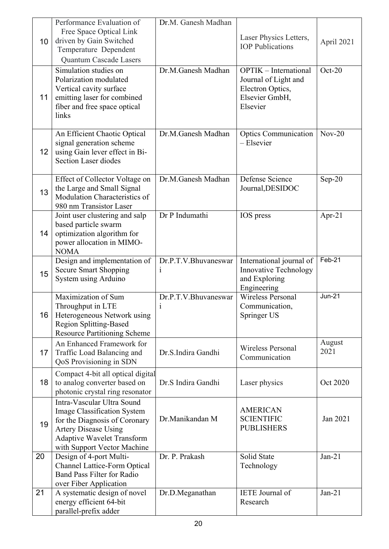| 10 <sup>°</sup><br>11 | Performance Evaluation of<br>Free Space Optical Link<br>driven by Gain Switched<br>Temperature Dependent<br>Quantum Cascade Lasers<br>Simulation studies on<br>Polarization modulated<br>Vertical cavity surface<br>emitting laser for combined<br>fiber and free space optical<br>links | Dr.M. Ganesh Madhan<br>Dr.M.Ganesh Madhan | Laser Physics Letters,<br><b>IOP</b> Publications<br>OPTIK - International<br>Journal of Light and<br>Electron Optics,<br>Elsevier GmbH,<br>Elsevier | April 2021<br>$Oct-20$ |
|-----------------------|------------------------------------------------------------------------------------------------------------------------------------------------------------------------------------------------------------------------------------------------------------------------------------------|-------------------------------------------|------------------------------------------------------------------------------------------------------------------------------------------------------|------------------------|
| 12 <sup>°</sup>       | An Efficient Chaotic Optical<br>signal generation scheme<br>using Gain lever effect in Bi-<br><b>Section Laser diodes</b>                                                                                                                                                                | Dr.M.Ganesh Madhan                        | <b>Optics Communication</b><br>- Elsevier                                                                                                            | $Nov-20$               |
| 13                    | Effect of Collector Voltage on<br>the Large and Small Signal<br>Modulation Characteristics of<br>980 nm Transistor Laser                                                                                                                                                                 | Dr.M.Ganesh Madhan                        | Defense Science<br>Journal, DESIDOC                                                                                                                  | $Sep-20$               |
| 14                    | Joint user clustering and salp<br>based particle swarm<br>optimization algorithm for<br>power allocation in MIMO-<br><b>NOMA</b>                                                                                                                                                         | Dr P Indumathi                            | IOS press                                                                                                                                            | $Apr-21$               |
| 15                    | Design and implementation of<br><b>Secure Smart Shopping</b><br>System using Arduino                                                                                                                                                                                                     | Dr.P.T.V.Bhuvaneswar<br>1                 | International journal of<br>Innovative Technology<br>and Exploring<br>Engineering                                                                    | $Feb-21$               |
| 16                    | Maximization of Sum<br>Throughput in LTE<br>Heterogeneous Network using<br><b>Region Splitting-Based</b><br><b>Resource Partitioning Scheme</b>                                                                                                                                          | Dr.P.T.V.Bhuvaneswar<br>1                 | <b>Wireless Personal</b><br>Communication,<br>Springer US                                                                                            | $Jun-21$               |
| 17                    | An Enhanced Framework for<br>Traffic Load Balancing and<br>QoS Provisioning in SDN                                                                                                                                                                                                       | Dr.S.Indira Gandhi                        | <b>Wireless Personal</b><br>Communication                                                                                                            | August<br>2021         |
| 18                    | Compact 4-bit all optical digital<br>to analog converter based on<br>photonic crystal ring resonator                                                                                                                                                                                     | Dr.S Indira Gandhi                        | Laser physics                                                                                                                                        | Oct 2020               |
| 19                    | Intra-Vascular Ultra Sound<br><b>Image Classification System</b><br>for the Diagnosis of Coronary<br><b>Artery Disease Using</b><br><b>Adaptive Wavelet Transform</b><br>with Support Vector Machine                                                                                     | Dr.Manikandan M                           | <b>AMERICAN</b><br><b>SCIENTIFIC</b><br><b>PUBLISHERS</b>                                                                                            | Jan 2021               |
| 20                    | Design of 4-port Multi-<br><b>Channel Lattice-Form Optical</b><br><b>Band Pass Filter for Radio</b><br>over Fiber Application                                                                                                                                                            | Dr. P. Prakash                            | Solid State<br>Technology                                                                                                                            | $Jan-21$               |
| 21                    | A systematic design of novel<br>energy efficient 64-bit<br>parallel-prefix adder                                                                                                                                                                                                         | Dr.D.Meganathan                           | <b>IETE</b> Journal of<br>Research                                                                                                                   | $Jan-21$               |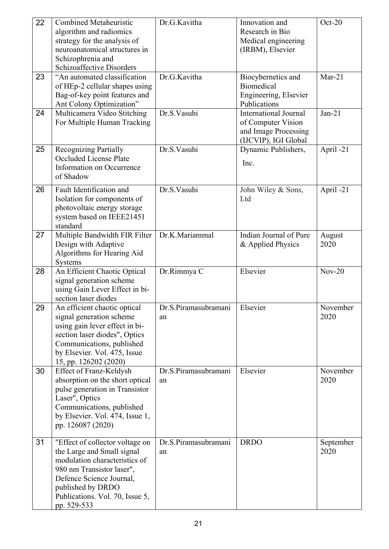| 22 | <b>Combined Metaheuristic</b><br>algorithm and radiomics<br>strategy for the analysis of<br>neuroanatomical structures in<br>Schizophrenia and<br><b>Schizoaffective Disorders</b>                                             | Dr.G.Kavitha               | Innovation and<br>Research in Bio<br>Medical engineering<br>(IRBM), Elsevier                       | $Oct-20$          |
|----|--------------------------------------------------------------------------------------------------------------------------------------------------------------------------------------------------------------------------------|----------------------------|----------------------------------------------------------------------------------------------------|-------------------|
| 23 | "An automated classification<br>of HEp-2 cellular shapes using<br>Bag-of-key point features and<br>Ant Colony Optimization"                                                                                                    | Dr.G.Kavitha               | Biocybernetics and<br>Biomedical<br>Engineering, Elsevier<br>Publications                          | $Mar-21$          |
| 24 | Multicamera Video Stitching<br>For Multiple Human Tracking                                                                                                                                                                     | Dr.S.Vasuhi                | <b>International Journal</b><br>of Computer Vision<br>and Image Processing<br>(IJCVIP), IGI Global | $Jan-21$          |
| 25 | <b>Recognizing Partially</b><br>Occluded License Plate<br>Information on Occurrence<br>of Shadow                                                                                                                               | Dr.S.Vasuhi                | Dynamic Publishers,<br>Inc.                                                                        | April -21         |
| 26 | Fault Identification and<br>Isolation for components of<br>photovoltaic energy storage<br>system based on IEEE21451<br>standard                                                                                                | Dr.S.Vasuhi                | John Wiley & Sons,<br>Ltd                                                                          | April -21         |
| 27 | Multiple Bandwidth FIR Filter<br>Design with Adaptive<br>Algorithms for Hearing Aid<br>Systems                                                                                                                                 | Dr.K.Mariammal             | Indian Journal of Pure<br>& Applied Physics                                                        | August<br>2020    |
| 28 | An Efficient Chaotic Optical<br>signal generation scheme<br>using Gain Lever Effect in bi-<br>section laser diodes                                                                                                             | Dr.Rimmya C                | Elsevier                                                                                           | $Nov-20$          |
| 29 | An efficient chaotic optical<br>signal generation scheme<br>using gain lever effect in bi-<br>section laser diodes", Optics<br>Communications, published<br>by Elsevier. Vol. 475, Issue<br>15, pp. 126202 (2020)              | Dr.S.Piramasubramani<br>an | Elsevier                                                                                           | November<br>2020  |
| 30 | Effect of Franz-Keldysh<br>absorption on the short optical<br>pulse generation in Transistor<br>Laser", Optics<br>Communications, published<br>by Elsevier. Vol. 474, Issue 1,<br>pp. 126087 (2020)                            | Dr.S.Piramasubramani<br>an | Elsevier                                                                                           | November<br>2020  |
| 31 | "Effect of collector voltage on<br>the Large and Small signal<br>modulation characteristics of<br>980 nm Transistor laser",<br>Defence Science Journal,<br>published by DRDO<br>Publications. Vol. 70, Issue 5,<br>pp. 529-533 | Dr.S.Piramasubramani<br>an | <b>DRDO</b>                                                                                        | September<br>2020 |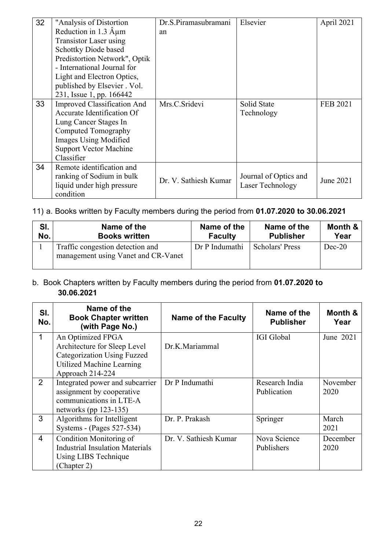| 32 | "Analysis of Distortion            | Dr.S.Piramasubramani  | Elsevier              | April 2021      |
|----|------------------------------------|-----------------------|-----------------------|-----------------|
|    | Reduction in 1.3 $\hat{A}\mu m$    | an                    |                       |                 |
|    | <b>Transistor Laser using</b>      |                       |                       |                 |
|    | <b>Schottky Diode based</b>        |                       |                       |                 |
|    | Predistortion Network", Optik      |                       |                       |                 |
|    | - International Journal for        |                       |                       |                 |
|    | Light and Electron Optics,         |                       |                       |                 |
|    | published by Elsevier . Vol.       |                       |                       |                 |
|    | 231, Issue 1, pp. 166442           |                       |                       |                 |
| 33 | <b>Improved Classification And</b> | Mrs.C.Sridevi         | Solid State           | <b>FEB 2021</b> |
|    | Accurate Identification Of         |                       | Technology            |                 |
|    | Lung Cancer Stages In              |                       |                       |                 |
|    | Computed Tomography                |                       |                       |                 |
|    | <b>Images Using Modified</b>       |                       |                       |                 |
|    | <b>Support Vector Machine</b>      |                       |                       |                 |
|    | Classifier                         |                       |                       |                 |
| 34 | Remote identification and          |                       |                       |                 |
|    | ranking of Sodium in bulk          | Dr. V. Sathiesh Kumar | Journal of Optics and | June 2021       |
|    | liquid under high pressure         |                       | Laser Technology      |                 |
|    | condition                          |                       |                       |                 |

11) a. Books written by Faculty members during the period from **01.07.2020 to 30.06.2021**

| SI. | Name of the                                                             | Name of the    | Name of the            | Month &  |
|-----|-------------------------------------------------------------------------|----------------|------------------------|----------|
| No. | <b>Books written</b>                                                    | <b>Faculty</b> | <b>Publisher</b>       | Year     |
|     | Traffic congestion detection and<br>management using Vanet and CR-Vanet | Dr P Indumathi | <b>Scholars' Press</b> | $Dec-20$ |

## b. Book Chapters written by Faculty members during the period from **01.07.2020 to 30.06.2021**

| SI.<br>No.     | Name of the<br><b>Book Chapter written</b><br>(with Page No.)      | <b>Name of the Faculty</b> | Name of the<br><b>Publisher</b> | Month &<br>Year |
|----------------|--------------------------------------------------------------------|----------------------------|---------------------------------|-----------------|
| 1              | An Optimized FPGA                                                  | Dr.K.Mariammal             | IGI Global                      | June 2021       |
|                | Architecture for Sleep Level<br><b>Categorization Using Fuzzed</b> |                            |                                 |                 |
|                | <b>Utilized Machine Learning</b>                                   |                            |                                 |                 |
|                | Approach 214-224                                                   |                            |                                 |                 |
| $\overline{2}$ | Integrated power and subcarrier                                    | Dr P Indumathi             | Research India                  | November        |
|                | assignment by cooperative                                          |                            | Publication                     | 2020            |
|                | communications in LTE-A                                            |                            |                                 |                 |
|                | networks (pp $123-135$ )                                           |                            |                                 |                 |
| 3              | Algorithms for Intelligent                                         | Dr. P. Prakash             | Springer                        | March           |
|                | Systems - (Pages 527-534)                                          |                            |                                 | 2021            |
| $\overline{4}$ | Condition Monitoring of                                            | Dr. V. Sathiesh Kumar      | Nova Science                    | December        |
|                | <b>Industrial Insulation Materials</b>                             |                            | Publishers                      | 2020            |
|                | Using LIBS Technique                                               |                            |                                 |                 |
|                | (Chapter 2)                                                        |                            |                                 |                 |